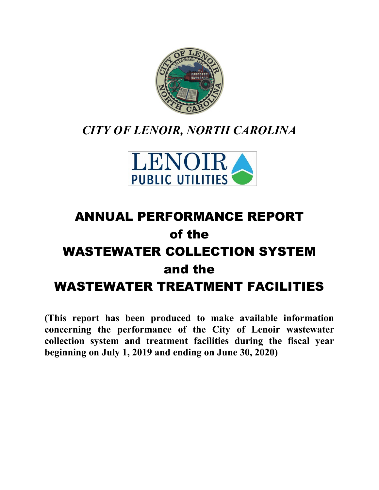

## *CITY OF LENOIR, NORTH CAROLINA*



# ANNUAL PERFORMANCE REPORT of the WASTEWATER COLLECTION SYSTEM and the WASTEWATER TREATMENT FACILITIES

**(This report has been produced to make available information concerning the performance of the City of Lenoir wastewater collection system and treatment facilities during the fiscal year beginning on July 1, 2019 and ending on June 30, 2020)**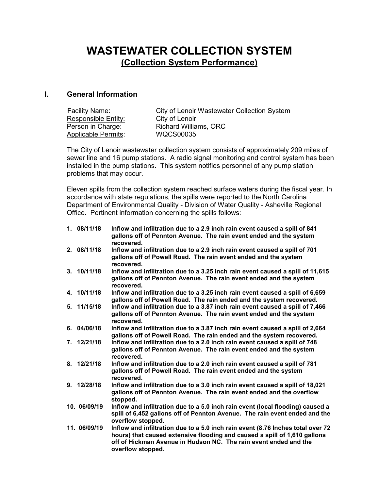### **WASTEWATER COLLECTION SYSTEM (Collection System Performance)**

### **I. General Information**

| <b>Facility Name:</b> | <b>City of Lenoir Wastewater Collection System</b> |
|-----------------------|----------------------------------------------------|
| Responsible Entity:   | City of Lenoir                                     |
| Person in Charge:     | Richard Williams, ORC                              |
| Applicable Permits:   | WQCS00035                                          |

The City of Lenoir wastewater collection system consists of approximately 209 miles of sewer line and 16 pump stations. A radio signal monitoring and control system has been installed in the pump stations. This system notifies personnel of any pump station problems that may occur.

Eleven spills from the collection system reached surface waters during the fiscal year. In accordance with state regulations, the spills were reported to the North Carolina Department of Environmental Quality - Division of Water Quality - Asheville Regional Office. Pertinent information concerning the spills follows:

| 1.08/11/18   | Inflow and infiltration due to a 2.9 inch rain event caused a spill of 841<br>gallons off of Pennton Avenue. The rain event ended and the system<br>recovered.                                                                                        |
|--------------|-------------------------------------------------------------------------------------------------------------------------------------------------------------------------------------------------------------------------------------------------------|
| 2. 08/11/18  | Inflow and infiltration due to a 2.9 inch rain event caused a spill of 701<br>gallons off of Powell Road. The rain event ended and the system<br>recovered.                                                                                           |
| 3.10/11/18   | Inflow and infiltration due to a 3.25 inch rain event caused a spill of 11,615<br>gallons off of Pennton Avenue. The rain event ended and the system<br>recovered.                                                                                    |
| 4. 10/11/18  | Inflow and infiltration due to a 3.25 inch rain event caused a spill of 6,659<br>gallons off of Powell Road. The rain ended and the system recovered.                                                                                                 |
| 5. 11/15/18  | Inflow and infiltration due to a 3.87 inch rain event caused a spill of 7,466<br>gallons off of Pennton Avenue. The rain event ended and the system<br>recovered.                                                                                     |
| 6. 04/06/18  | Inflow and infiltration due to a 3.87 inch rain event caused a spill of 2,664<br>gallons off of Powell Road. The rain ended and the system recovered.                                                                                                 |
| 7.12/21/18   | Inflow and infiltration due to a 2.0 inch rain event caused a spill of 748<br>gallons off of Pennton Avenue. The rain event ended and the system<br>recovered.                                                                                        |
| 8. 12/21/18  | Inflow and infiltration due to a 2.0 inch rain event caused a spill of 781<br>gallons off of Powell Road. The rain event ended and the system<br>recovered.                                                                                           |
| 9. 12/28/18  | Inflow and infiltration due to a 3.0 inch rain event caused a spill of 18,021<br>gallons off of Pennton Avenue. The rain event ended and the overflow<br>stopped.                                                                                     |
| 10. 06/09/19 | Inflow and infiltration due to a 5.0 inch rain event (local flooding) caused a<br>spill of 6,452 gallons off of Pennton Avenue. The rain event ended and the<br>overflow stopped.                                                                     |
| 11. 06/09/19 | Inflow and infiltration due to a 5.0 inch rain event (8.76 lnches total over 72<br>hours) that caused extensive flooding and caused a spill of 1,610 gallons<br>off of Hickman Avenue in Hudson NC. The rain event ended and the<br>overflow stopped. |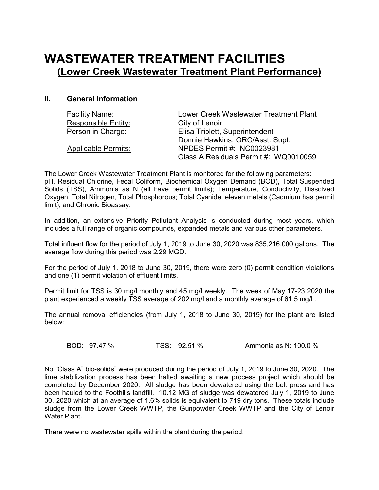### **WASTEWATER TREATMENT FACILITIES (Lower Creek Wastewater Treatment Plant Performance)**

### **II. General Information**

| <b>Facility Name:</b>      | Lower Creek Wastewater Treatment Plant |
|----------------------------|----------------------------------------|
| <b>Responsible Entity:</b> | City of Lenoir                         |
| Person in Charge:          | Elisa Triplett, Superintendent         |
|                            | Donnie Hawkins, ORC/Asst. Supt.        |
| <b>Applicable Permits:</b> | NPDES Permit #: NC0023981              |
|                            | Class A Residuals Permit #: WQ0010059  |

The Lower Creek Wastewater Treatment Plant is monitored for the following parameters: pH, Residual Chlorine, Fecal Coliform, Biochemical Oxygen Demand (BOD), Total Suspended Solids (TSS), Ammonia as N (all have permit limits); Temperature, Conductivity, Dissolved Oxygen, Total Nitrogen, Total Phosphorous; Total Cyanide, eleven metals (Cadmium has permit limit), and Chronic Bioassay.

In addition, an extensive Priority Pollutant Analysis is conducted during most years, which includes a full range of organic compounds, expanded metals and various other parameters.

Total influent flow for the period of July 1, 2019 to June 30, 2020 was 835,216,000 gallons. The average flow during this period was 2.29 MGD.

For the period of July 1, 2018 to June 30, 2019, there were zero (0) permit condition violations and one (1) permit violation of effluent limits.

Permit limit for TSS is 30 mg/l monthly and 45 mg/l weekly. The week of May 17-23 2020 the plant experienced a weekly TSS average of 202 mg/l and a monthly average of 61.5 mg/l .

The annual removal efficiencies (from July 1, 2018 to June 30, 2019) for the plant are listed below:

BOD: 97.47 % TSS: 92.51 % Ammonia as N: 100.0 %

No "Class A" bio-solids" were produced during the period of July 1, 2019 to June 30, 2020. The lime stabilization process has been halted awaiting a new process project which should be completed by December 2020. All sludge has been dewatered using the belt press and has been hauled to the Foothills landfill. 10.12 MG of sludge was dewatered July 1, 2019 to June 30, 2020 which at an average of 1.6% solids is equivalent to 719 dry tons. These totals include sludge from the Lower Creek WWTP, the Gunpowder Creek WWTP and the City of Lenoir Water Plant.

There were no wastewater spills within the plant during the period.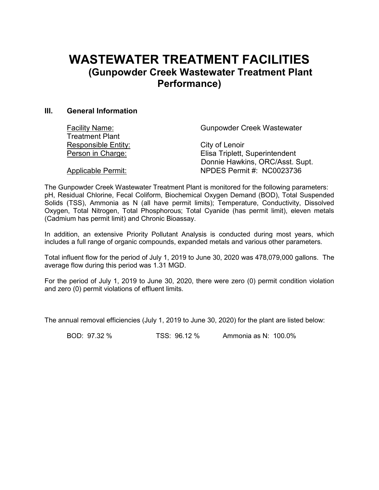### **WASTEWATER TREATMENT FACILITIES (Gunpowder Creek Wastewater Treatment Plant Performance)**

#### **III. General Information**

| <b>Facility Name:</b>     | <b>Gunpowder Creek Wastewater</b> |
|---------------------------|-----------------------------------|
| <b>Treatment Plant</b>    |                                   |
| Responsible Entity:       | City of Lenoir                    |
| Person in Charge:         | Elisa Triplett, Superintendent    |
|                           | Donnie Hawkins, ORC/Asst. Supt.   |
| <b>Applicable Permit:</b> | NPDES Permit #: NC0023736         |

The Gunpowder Creek Wastewater Treatment Plant is monitored for the following parameters: pH, Residual Chlorine, Fecal Coliform, Biochemical Oxygen Demand (BOD), Total Suspended Solids (TSS), Ammonia as N (all have permit limits); Temperature, Conductivity, Dissolved Oxygen, Total Nitrogen, Total Phosphorous; Total Cyanide (has permit limit), eleven metals (Cadmium has permit limit) and Chronic Bioassay.

In addition, an extensive Priority Pollutant Analysis is conducted during most years, which includes a full range of organic compounds, expanded metals and various other parameters.

Total influent flow for the period of July 1, 2019 to June 30, 2020 was 478,079,000 gallons. The average flow during this period was 1.31 MGD.

For the period of July 1, 2019 to June 30, 2020, there were zero (0) permit condition violation and zero (0) permit violations of effluent limits.

The annual removal efficiencies (July 1, 2019 to June 30, 2020) for the plant are listed below:

BOD: 97.32 % TSS: 96.12 % Ammonia as N: 100.0%